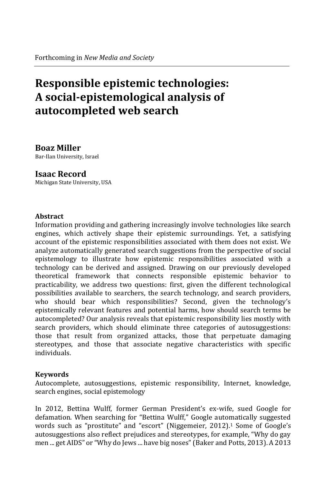# **Responsible epistemic technologies: A social-epistemological analysis of autocompleted web search**

**Boaz Miller** Bar-Ilan University, Israel

#### **Isaac Record**

Michigan State University, USA

#### **Abstract**

Information providing and gathering increasingly involve technologies like search engines, which actively shape their epistemic surroundings. Yet, a satisfying account of the epistemic responsibilities associated with them does not exist. We analyze automatically generated search suggestions from the perspective of social epistemology to illustrate how epistemic responsibilities associated with a technology can be derived and assigned. Drawing on our previously developed theoretical framework that connects responsible epistemic behavior to practicability, we address two questions: first, given the different technological possibilities available to searchers, the search technology, and search providers, who should bear which responsibilities? Second, given the technology's epistemically relevant features and potential harms, how should search terms be autocompleted? Our analysis reveals that epistemic responsibility lies mostly with search providers, which should eliminate three categories of autosuggestions: those that result from organized attacks, those that perpetuate damaging stereotypes, and those that associate negative characteristics with specific individuals.

#### **Keywords**

Autocomplete, autosuggestions, epistemic responsibility, Internet, knowledge, search engines, social epistemology

In 2012, Bettina Wulff, former German President's ex-wife, sued Google for defamation. When searching for "Bettina Wulff," Google automatically suggested words such as "prostitute" and "escort" (Niggemeier, 2012).<sup>1</sup> Some of Google's autosuggestions also reflect prejudices and stereotypes, for example, "Why do gay men ... get AIDS" or "Why do Jews ... have big noses" (Baker and Potts, 2013). A 2013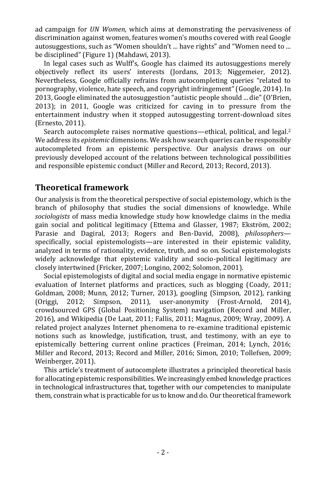ad campaign for *UN Women*, which aims at demonstrating the pervasiveness of discrimination against women, features women's mouths covered with real Google autosuggestions, such as "Women shouldn't ... have rights" and "Women need to ... be disciplined" (Figure 1) (Mahdawi, 2013).

In legal cases such as Wulff's, Google has claimed its autosuggestions merely objectively reflect its users' interests (Jordans, 2013; Niggemeier, 2012). Nevertheless, Google officially refrains from autocompleting queries "related to pornography, violence, hate speech, and copyright infringement" (Google, 2014). In 2013, Google eliminated the autosuggestion "autistic people should ... die" (O'Brien, 2013); in 2011, Google was criticized for caving in to pressure from the entertainment industry when it stopped autosuggesting torrent-download sites (Ernesto, 2011).

Search autocomplete raises normative questions—ethical, political, and legal.<sup>2</sup> We address its *epistemic* dimensions. We ask how search queries can be responsibly autocompleted from an epistemic perspective. Our analysis draws on our previously developed account of the relations between technological possibilities and responsible epistemic conduct (Miller and Record, 2013; Record, 2013).

# **Theoretical framework**

Our analysis is from the theoretical perspective of social epistemology, which is the branch of philosophy that studies the social dimensions of knowledge. While *sociologists* of mass media knowledge study how knowledge claims in the media gain social and political legitimacy (Ettema and Glasser, 1987; Ekström, 2002; Parasie and Dagiral, 2013; Rogers and Ben-David, 2008), *philosophers* specifically, social epistemologists—are interested in their epistemic validity, analyzed in terms of rationality, evidence, truth, and so on. Social epistemologists widely acknowledge that epistemic validity and socio-political legitimacy are closely intertwined (Fricker, 2007; Longino, 2002; Solomon, 2001).

Social epistemologists of digital and social media engage in normative epistemic evaluation of Internet platforms and practices, such as blogging (Coady, 2011; Goldman, 2008; Munn, 2012; Turner, 2013), googling (Simpson, 2012), ranking (Origgi, 2012; Simpson, 2011), user-anonymity (Frost-Arnold, 2014), crowdsourced GPS (Global Positioning System) navigation (Record and Miller, 2016), and Wikipedia (De Laat, 2011; Fallis, 2011; Magnus, 2009; Wray, 2009). A related project analyzes Internet phenomena to re-examine traditional epistemic notions such as knowledge, justification, trust, and testimony, with an eye to epistemically bettering current online practices (Freiman, 2014; Lynch, 2016; Miller and Record, 2013; Record and Miller, 2016; Simon, 2010; Tollefsen, 2009; Weinberger, 2011).

This article's treatment of autocomplete illustrates a principled theoretical basis for allocating epistemic responsibilities. We increasingly embed knowledge practices in technological infrastructures that, together with our competencies to manipulate them, constrain what is practicable for us to know and do. Our theoretical framework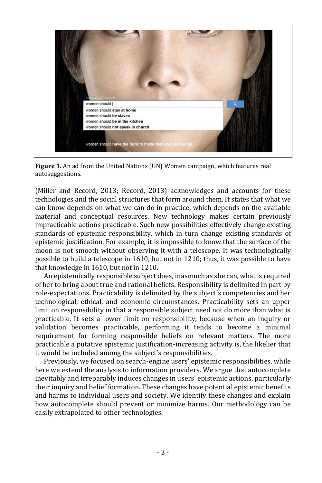

**Figure 1.** An ad from the United Nations (UN) Women campaign, which features real autosuggestions.

(Miller and Record, 2013; Record, 2013) acknowledges and accounts for these technologies and the social structures that form around them. It states that what we can know depends on what we can do in practice, which depends on the available material and conceptual resources. New technology makes certain previously impracticable actions practicable. Such new possibilities effectively change existing standards of epistemic responsibility, which in turn change existing standards of epistemic justification. For example, it is impossible to know that the surface of the moon is not smooth without observing it with a telescope. It was technologically possible to build a telescope in 1610, but not in 1210; thus, it was possible to have that knowledge in 1610, but not in 1210.

An epistemically responsible subject does, inasmuch as she can, what is required of her to bring about true and rational beliefs. Responsibility is delimited in part by role-expectations. Practicability is delimited by the subject's competencies and her technological, ethical, and economic circumstances. Practicability sets an upper limit on responsibility in that a responsible subject need not do more than what is practicable. It sets a lower limit on responsibility, because when an inquiry or validation becomes practicable, performing it tends to become a minimal requirement for forming responsible beliefs on relevant matters. The more practicable a putative epistemic justification-increasing activity is, the likelier that it would be included among the subject's responsibilities.

Previously, we focused on search-engine users' epistemic responsibilities, while here we extend the analysis to information providers. We argue that autocomplete inevitably and irreparably induces changes in users' epistemic actions, particularly their inquiry and belief formation. These changes have potential epistemic benefits and harms to individual users and society. We identify these changes and explain how autocomplete should prevent or minimize harms. Our methodology can be easily extrapolated to other technologies.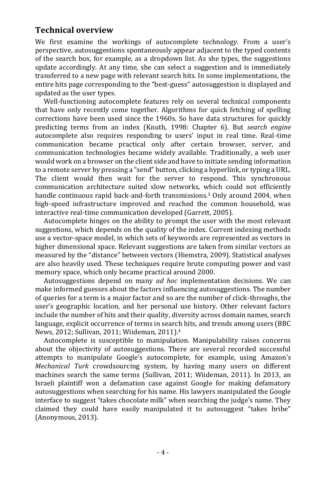# **Technical overview**

We first examine the workings of autocomplete technology. From a user's perspective, autosuggestions spontaneously appear adjacent to the typed contents of the search box, for example, as a dropdown list. As she types, the suggestions update accordingly. At any time, she can select a suggestion and is immediately transferred to a new page with relevant search hits. In some implementations, the entire hits page corresponding to the "best-guess" autosuggestion is displayed and updated as the user types.

Well-functioning autocomplete features rely on several technical components that have only recently come together. Algorithms for quick fetching of spelling corrections have been used since the 1960s. So have data structures for quickly predicting terms from an index (Knuth, 1998: Chapter 6). But *search engine* autocomplete also requires responding to users' input in real time. Real-time communication became practical only after certain browser, server, and communication technologies became widely available. Traditionally, a web user would work on a browser on the client side and have to initiate sending information to a remote server by pressing a "send" button, clicking a hyperlink, or typing a URL. The client would then wait for the server to respond. This synchronous communication architecture suited slow networks, which could not efficiently handle continuous rapid back-and-forth transmissions.<sup>3</sup> Only around 2004, when high-speed infrastructure improved and reached the common household, was interactive real-time communication developed (Garrett, 2005).

Autocomplete hinges on the ability to prompt the user with the most relevant suggestions, which depends on the quality of the index. Current indexing methods use a vector-space model, in which sets of keywords are represented as vectors in higher dimensional space. Relevant suggestions are taken from similar vectors as measured by the "distance" between vectors (Hiemstra, 2009). Statistical analyses are also heavily used. These techniques require brute computing power and vast memory space, which only became practical around 2000.

Autosuggestions depend on many *ad hoc* implementation decisions. We can make informed guesses about the factors influencing autosuggestions. The number of queries for a term is a major factor and so are the number of click-throughs, the user's geographic location, and her personal use history. Other relevant factors include the number of hits and their quality, diversity across domain names, search language, explicit occurrence of terms in search hits, and trends among users (BBC News, 2012; Sullivan, 2011; Wiideman, 2011).<sup>4</sup>

Autocomplete is susceptible to manipulation. Manipulability raises concerns about the objectivity of autosuggestions. There are several recorded successful attempts to manipulate Google's autocomplete, for example, using Amazon's *Mechanical Turk* crowdsourcing system, by having many users on different machines search the same terms (Sullivan, 2011; Wiideman, 2011). In 2013, an Israeli plaintiff won a defamation case against Google for making defamatory autosuggestions when searching for his name. His lawyers manipulated the Google interface to suggest "takes chocolate milk" when searching the judge's name. They claimed they could have easily manipulated it to autosuggest "takes bribe" (Anonymous, 2013).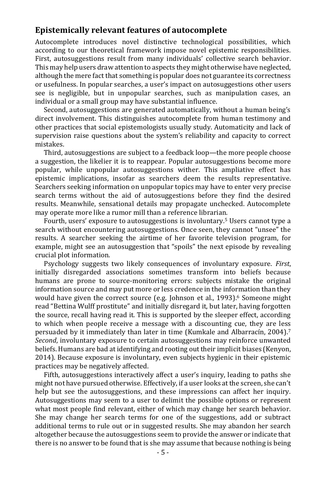## **Epistemically relevant features of autocomplete**

Autocomplete introduces novel distinctive technological possibilities, which according to our theoretical framework impose novel epistemic responsibilities. First, autosuggestions result from many individuals' collective search behavior. This may help users draw attention to aspects they might otherwise have neglected, although the mere fact that something is popular does not guarantee its correctness or usefulness. In popular searches, a user's impact on autosuggestions other users see is negligible, but in unpopular searches, such as manipulation cases, an individual or a small group may have substantial influence.

Second, autosuggestions are generated automatically, without a human being's direct involvement. This distinguishes autocomplete from human testimony and other practices that social epistemologists usually study. Automaticity and lack of supervision raise questions about the system's reliability and capacity to correct mistakes.

Third, autosuggestions are subject to a feedback loop—the more people choose a suggestion, the likelier it is to reappear. Popular autosuggestions become more popular, while unpopular autosuggestions wither. This ampliative effect has epistemic implications, insofar as searchers deem the results representative. Searchers seeking information on unpopular topics may have to enter very precise search terms without the aid of autosuggestions before they find the desired results. Meanwhile, sensational details may propagate unchecked. Autocomplete may operate more like a rumor mill than a reference librarian.

Fourth, users' exposure to autosuggestions is involuntary.<sup>5</sup> Users cannot type a search without encountering autosuggestions. Once seen, they cannot "unsee" the results. A searcher seeking the airtime of her favorite television program, for example, might see an autosuggestion that "spoils" the next episode by revealing crucial plot information.

Psychology suggests two likely consequences of involuntary exposure. *First*, initially disregarded associations sometimes transform into beliefs because humans are prone to source-monitoring errors: subjects mistake the original information source and may put more or less credence in the information than they would have given the correct source (e.g. Johnson et al.,  $1993$ ).<sup>6</sup> Someone might read "Bettina Wulff prostitute" and initially disregard it, but later, having forgotten the source, recall having read it. This is supported by the sleeper effect, according to which when people receive a message with a discounting cue, they are less persuaded by it immediately than later in time (Kumkale and Albarracín, 2004).<sup>7</sup> *Second*, involuntary exposure to certain autosuggestions may reinforce unwanted beliefs. Humans are bad at identifying and rooting out their implicit biases (Kenyon, 2014). Because exposure is involuntary, even subjects hygienic in their epistemic practices may be negatively affected.

Fifth, autosuggestions interactively affect a user's inquiry, leading to paths she might not have pursued otherwise. Effectively, if a user looks at the screen, she can't help but see the autosuggestions, and these impressions can affect her inquiry. Autosuggestions may seem to a user to delimit the possible options or represent what most people find relevant, either of which may change her search behavior. She may change her search terms for one of the suggestions, add or subtract additional terms to rule out or in suggested results. She may abandon her search altogether because the autosuggestions seem to provide the answer or indicate that there is no answer to be found that is she may assume that because nothing is being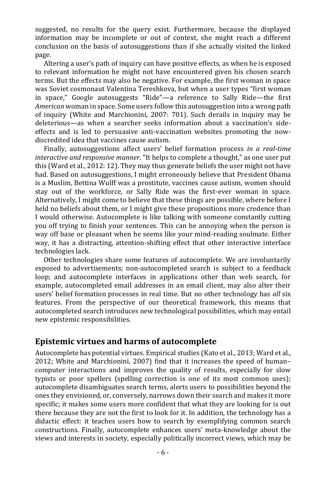suggested, no results for the query exist. Furthermore, because the displayed information may be incomplete or out of context, she might reach a different conclusion on the basis of autosuggestions than if she actually visited the linked page.

Altering a user's path of inquiry can have positive effects, as when he is exposed to relevant information he might not have encountered given his chosen search terms. But the effects may also be negative. For example, the first woman in space was Soviet cosmonaut Valentina Tereshkova, but when a user types "first woman in space," Google autosuggests "Ride"—a reference to Sally Ride—the first *American* woman in space. Some users follow this autosuggestion into a wrong path of inquiry (White and Marchionini, 2007: 701). Such derails in inquiry may be deleterious—as when a searcher seeks information about a vaccination's sideeffects and is led to persuasive anti-vaccination websites promoting the nowdiscredited idea that vaccines cause autism.

Finally, autosuggestions affect users' belief formation process *in a real-time interactive and responsive manner*. "It helps to complete a thought," as one user put this (Ward et al., 2012: 12). They may thus generate beliefs the user might not have had. Based on autosuggestions, I might erroneously believe that President Obama is a Muslim, Bettina Wulff was a prostitute, vaccines cause autism, women should stay out of the workforce, or Sally Ride was the first-ever woman in space. Alternatively, I might come to believe that these things are possible, where before I held no beliefs about them, or I might give these propositions more credence than I would otherwise. Autocomplete is like talking with someone constantly cutting you off trying to finish your sentences. This can be annoying when the person is way off base or pleasant when he seems like your mind-reading soulmate. Either way, it has a distracting, attention-shifting effect that other interactive interface technologies lack.

Other technologies share some features of autocomplete. We are involuntarily exposed to advertisements; non-autocompleted search is subject to a feedback loop; and autocomplete interfaces in applications other than web search, for example, autocompleted email addresses in an email client, may also alter their users' belief formation processes in real time. But no other technology has *all* six features. From the perspective of our theoretical framework, this means that autocompleted search introduces new technological possibilities, which may entail new epistemic responsibilities.

### **Epistemic virtues and harms of autocomplete**

Autocomplete has potential virtues. Empirical studies (Kato et al., 2013; Ward et al., 2012; White and Marchionini, 2007) find that it increases the speed of human– computer interactions and improves the quality of results, especially for slow typists or poor spellers (spelling correction is one of its most common uses); autocomplete disambiguates search terms, alerts users to possibilities beyond the ones they envisioned, or, conversely, narrows down their search and makes it more specific; it makes some users more confident that what they are looking for is out there because they are not the first to look for it. In addition, the technology has a didactic effect: it teaches users how to search by exemplifying common search constructions. Finally, autocomplete enhances users' meta-knowledge about the views and interests in society, especially politically incorrect views, which may be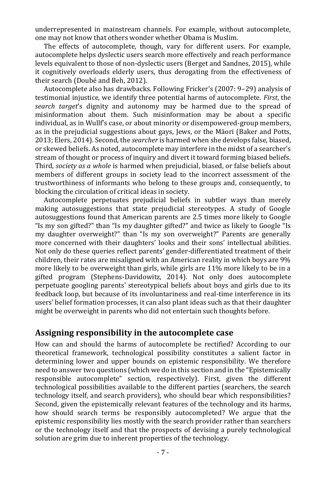underrepresented in mainstream channels. For example, without autocomplete, one may not know that others wonder whether Obama is Muslim.

The effects of autocomplete, though, vary for different users. For example, autocomplete helps dyslectic users search more effectively and reach performance levels equivalent to those of non-dyslectic users (Berget and Sandnes, 2015), while it cognitively overloads elderly users, thus derogating from the effectiveness of their search (Doubé and Beh, 2012).

Autocomplete also has drawbacks. Following Fricker's (2007: 9–29) analysis of testimonial injustice, we identify three potential harms of autocomplete. *First*, the *search target*'s dignity and autonomy may be harmed due to the spread of misinformation about them. Such misinformation may be about a specific individual, as in Wullf's case, or about minority or disempowered-group members, as in the prejudicial suggestions about gays, Jews, or the Māori (Baker and Potts, 2013; Elers, 2014). Second, the *searcher* is harmed when she develops false, biased, or skewed beliefs. As noted, autocomplete may interfere in the midst of a searcher's stream of thought or process of inquiry and divert it toward forming biased beliefs. Third, *society as a whole* is harmed when prejudicial, biased, or false beliefs about members of different groups in society lead to the incorrect assessment of the trustworthiness of informants who belong to these groups and, consequently, to blocking the circulation of critical ideas in society.

Autocomplete perpetuates prejudicial beliefs in subtler ways than merely making autosuggestions that state prejudicial stereotypes. A study of Google autosuggestions found that American parents are 2.5 times more likely to Google "Is my son gifted?" than "Is my daughter gifted?" and twice as likely to Google "Is my daughter overweight?" than "Is my son overweight?" Parents are generally more concerned with their daughters' looks and their sons' intellectual abilities. Not only do these queries reflect parents' gender-differentiated treatment of their children, their rates are misaligned with an American reality in which boys are 9% more likely to be overweight than girls, while girls are 11% more likely to be in a gifted program (Stephens-Davidowitz, 2014). Not only does autocomplete perpetuate googling parents' stereotypical beliefs about boys and girls due to its feedback loop, but because of its involuntariness and real-time interference in its users' belief formation processes, it can also plant ideas such as that their daughter might be overweight in parents who did not entertain such thoughts before.

### **Assigning responsibility in the autocomplete case**

How can and should the harms of autocomplete be rectified? According to our theoretical framework, technological possibility constitutes a salient factor in determining lower and upper bounds on epistemic responsibility. We therefore need to answer two questions (which we do in this section and in the "Epistemically responsible autocomplete" section, respectively). First, given the different technological possibilities available to the different parties (searchers, the search technology itself, and search providers), who should bear which responsibilities? Second, given the epistemically relevant features of the technology and its harms, how should search terms be responsibly autocompleted? We argue that the epistemic responsibility lies mostly with the search provider rather than searchers or the technology itself and that the prospects of devising a purely technological solution are grim due to inherent properties of the technology.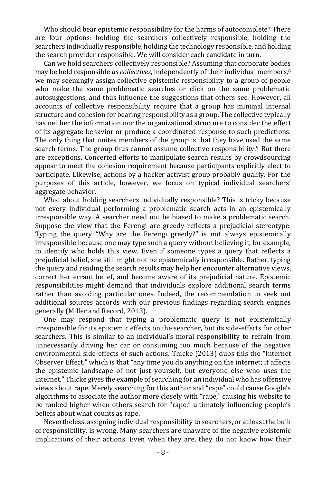Who should bear epistemic responsibility for the harms of autocomplete? There are four options: holding the searchers collectively responsible, holding the searchers individually responsible, holding the technology responsible, and holding the search provider responsible. We will consider each candidate in turn.

Can we hold searchers collectively responsible? Assuming that corporate bodies may be held responsible *as collectives*, independently of their individual members,<sup>8</sup> we may seemingly assign collective epistemic responsibility to a group of people who make the same problematic searches or click on the same problematic autosuggestions, and thus influence the suggestions that others see. However, all accounts of collective responsibility require that a group has minimal internal structure and cohesion for bearing responsibility as a group. The collective typically has neither the information nor the organizational structure to consider the effect of its aggregate behavior or produce a coordinated response to such predictions. The only thing that unites members of the group is that they have used the same search terms. The group thus cannot assume collective responsibility. $9$  But there are exceptions. Concerted efforts to manipulate search results by crowdsourcing appear to meet the cohesion requirement because participants explicitly elect to participate. Likewise, actions by a hacker activist group probably qualify. For the purposes of this article, however, we focus on typical individual searchers' aggregate behavior.

What about holding searchers individually responsible? This is tricky because not every individual performing a problematic search acts in an epistemically irresponsible way. A searcher need not be biased to make a problematic search. Suppose the view that the Ferengi are greedy reflects a prejudicial stereotype. Typing the query "Why are the Ferengi greedy?" is not always epistemically irresponsible because one may type such a query without believing it, for example, to identify who holds this view. Even if someone types a query that reflects a prejudicial belief, she still might not be epistemically irresponsible. Rather, typing the query and reading the search results may help her encounter alternative views, correct her errant belief, and become aware of its prejudicial nature. Epistemic responsibilities might demand that individuals explore additional search terms rather than avoiding particular ones. Indeed, the recommendation to seek out additional sources accords with our previous findings regarding search engines generally (Miller and Record, 2013).

One may respond that typing a problematic query is not epistemically irresponsible for its epistemic effects on the searcher, but its side-effects for other searchers. This is similar to an individual's moral responsibility to refrain from unnecessarily driving her car or consuming too much because of the negative environmental side-effects of such actions. Thicke (2013) dubs this the "Internet Observer Effect," which is that "any time you do anything on the internet; it affects the epistemic landscape of not just yourself, but everyone else who uses the internet." Thicke gives the example of searching for an individual who has offensive views about rape. Merely searching for this author and "rape" could cause Google's algorithms to associate the author more closely with "rape," causing his website to be ranked higher when others search for "rape," ultimately influencing people's beliefs about what counts as rape.

Nevertheless, assigning individual responsibility to searchers, or at least the bulk of responsibility, is wrong. Many searchers are unaware of the negative epistemic implications of their actions. Even when they are, they do not know how their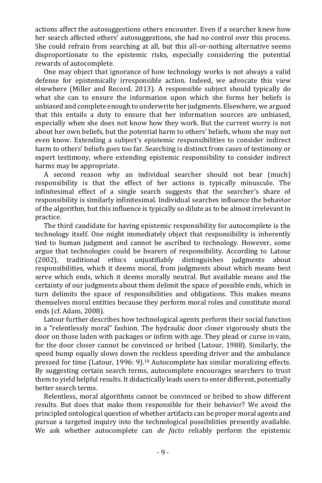actions affect the autosuggestions others encounter. Even if a searcher knew how her search affected others' autosuggestions, she had no control over this process. She could refrain from searching at all, but this all-or-nothing alternative seems disproportionate to the epistemic risks, especially considering the potential rewards of autocomplete.

One may object that ignorance of how technology works is not always a valid defense for epistemically irresponsible action. Indeed, we advocate this view elsewhere (Miller and Record, 2013). A responsible subject should typically do what she can to ensure the information upon which she forms her beliefs is unbiased and complete enough to underwrite her judgments. Elsewhere, we argued that this entails a duty to ensure that her information sources are unbiased, especially when she does not know how they work. But the current worry is not about her own beliefs, but the potential harm to others' beliefs, whom she may not even know. Extending a subject's epistemic responsibilities to consider indirect harm to others' beliefs goes too far. Searching is distinct from cases of testimony or expert testimony, where extending epistemic responsibility to consider indirect harms may be appropriate.

A second reason why an individual searcher should not bear (much) responsibility is that the effect of her actions is typically minuscule. The infinitesimal effect of a single search suggests that the searcher's share of responsibility is similarly infinitesimal. Individual searches influence the behavior of the algorithm, but this influence is typically so dilute as to be almost irrelevant in practice.

The third candidate for having epistemic responsibility for autocomplete is the technology itself. One might immediately object that responsibility is inherently tied to human judgment and cannot be ascribed to technology. However, some argue that technologies could be bearers of responsibility. According to Latour (2002), traditional ethics unjustifiably distinguishes judgments about responsibilities, which it deems moral, from judgments about which means best serve which ends, which it deems morally neutral. But available means and the certainty of our judgments about them delimit the space of possible ends, which in turn delimits the space of responsibilities and obligations. This makes means themselves moral entities because they perform moral roles and constitute moral ends (cf. Adam, 2008).

Latour further describes how technological agents perform their social function in a "relentlessly moral" fashion. The hydraulic door closer vigorously shuts the door on those laden with packages or infirm with age. They plead or curse in vain, for the door closer cannot be convinced or bribed (Latour, 1988). Similarly, the speed bump equally slows down the reckless speeding driver and the ambulance pressed for time (Latour, 1996: 9).<sup>10</sup> Autocomplete has similar moralizing effects. By suggesting certain search terms, autocomplete encourages searchers to trust them to yield helpful results. It didactically leads users to enter different, potentially better search terms.

Relentless, moral algorithms cannot be convinced or bribed to show different results. But does that make them responsible for their behavior? We avoid the principled ontological question of whether artifacts can be proper moral agents and pursue a targeted inquiry into the technological possibilities presently available. We ask whether autocomplete can *de facto* reliably perform the epistemic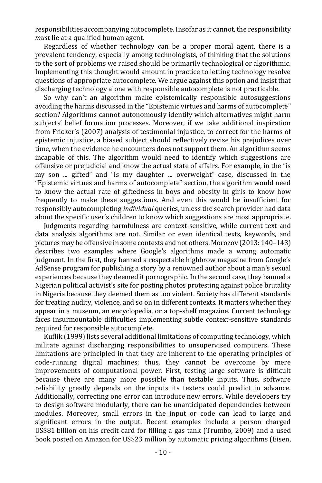responsibilities accompanying autocomplete. Insofar as it cannot, the responsibility *must* lie at a qualified human agent.

Regardless of whether technology can be a proper moral agent, there is a prevalent tendency, especially among technologists, of thinking that the solutions to the sort of problems we raised should be primarily technological or algorithmic. Implementing this thought would amount in practice to letting technology resolve questions of appropriate autocomplete. We argue against this option and insist that discharging technology alone with responsible autocomplete is not practicable.

So why can't an algorithm make epistemically responsible autosuggestions avoiding the harms discussed in the "Epistemic virtues and harms of autocomplete" section? Algorithms cannot autonomously identify which alternatives might harm subjects' belief formation processes. Moreover, if we take additional inspiration from Fricker's (2007) analysis of testimonial injustice, to correct for the harms of epistemic injustice, a biased subject should reflectively revise his prejudices over time, when the evidence he encounters does not support them. An algorithm seems incapable of this. The algorithm would need to identify which suggestions are offensive or prejudicial and know the actual state of affairs. For example, in the "is my son ... gifted" and "is my daughter ... overweight" case, discussed in the "Epistemic virtues and harms of autocomplete" section, the algorithm would need to know the actual rate of giftedness in boys and obesity in girls to know how frequently to make these suggestions. And even this would be insufficient for responsibly autocompleting *individual* queries, unless the search provider had data about the specific user's children to know which suggestions are most appropriate.

Judgments regarding harmfulness are context-sensitive, while current text and data analysis algorithms are not. Similar or even identical texts, keywords, and pictures may be offensive in some contexts and not others. Morozov (2013: 140–143) describes two examples where Google's algorithms made a wrong automatic judgment. In the first, they banned a respectable highbrow magazine from Google's AdSense program for publishing a story by a renowned author about a man's sexual experiences because they deemed it pornographic. In the second case, they banned a Nigerian political activist's site for posting photos protesting against police brutality in Nigeria because they deemed them as too violent. Society has different standards for treating nudity, violence, and so on in different contexts. It matters whether they appear in a museum, an encyclopedia, or a top-shelf magazine. Current technology faces insurmountable difficulties implementing subtle context-sensitive standards required for responsible autocomplete.

Kuflik (1999) lists several additional limitations of computing technology, which militate against discharging responsibilities to unsupervised computers. These limitations are principled in that they are inherent to the operating principles of code-running digital machines; thus, they cannot be overcome by mere improvements of computational power. First, testing large software is difficult because there are many more possible than testable inputs. Thus, software reliability greatly depends on the inputs its testers could predict in advance. Additionally, correcting one error can introduce new errors. While developers try to design software modularly, there can be unanticipated dependencies between modules. Moreover, small errors in the input or code can lead to large and significant errors in the output. Recent examples include a person charged US\$81 billion on his credit card for filling a gas tank (Trumbo, 2009) and a used book posted on Amazon for US\$23 million by automatic pricing algorithms (Eisen,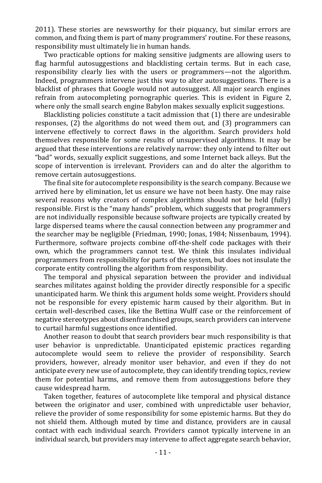2011). These stories are newsworthy for their piquancy, but similar errors are common, and fixing them is part of many programmers' routine. For these reasons, responsibility must ultimately lie in human hands.

Two practicable options for making sensitive judgments are allowing users to flag harmful autosuggestions and blacklisting certain terms. But in each case, responsibility clearly lies with the users or programmers—not the algorithm. Indeed, programmers intervene just this way to alter autosuggestions. There is a blacklist of phrases that Google would not autosuggest. All major search engines refrain from autocompleting pornographic queries. This is evident in Figure 2, where only the small search engine Babylon makes sexually explicit suggestions.

Blacklisting policies constitute a tacit admission that (1) there are undesirable responses, (2) the algorithms do not weed them out, and (3) programmers can intervene effectively to correct flaws in the algorithm. Search providers hold themselves responsible for some results of unsupervised algorithms. It may be argued that these interventions are relatively narrow: they only intend to filter out "bad" words, sexually explicit suggestions, and some Internet back alleys. But the scope of intervention is irrelevant. Providers can and do alter the algorithm to remove certain autosuggestions.

The final site for autocomplete responsibility is the search company. Because we arrived here by elimination, let us ensure we have not been hasty. One may raise several reasons why creators of complex algorithms should not be held (fully) responsible. First is the "many hands" problem, which suggests that programmers are not individually responsible because software projects are typically created by large dispersed teams where the causal connection between any programmer and the searcher may be negligible (Friedman, 1990; Jonas, 1984; Nissenbaum, 1994). Furthermore, software projects combine off-the-shelf code packages with their own, which the programmers cannot test. We think this insulates individual programmers from responsibility for parts of the system, but does not insulate the corporate entity controlling the algorithm from responsibility.

The temporal and physical separation between the provider and individual searches militates against holding the provider directly responsible for a specific unanticipated harm. We think this argument holds some weight. Providers should not be responsible for every epistemic harm caused by their algorithm. But in certain well-described cases, like the Bettina Wulff case or the reinforcement of negative stereotypes about disenfranchised groups, search providers can intervene to curtail harmful suggestions once identified.

Another reason to doubt that search providers bear much responsibility is that user behavior is unpredictable. Unanticipated epistemic practices regarding autocomplete would seem to relieve the provider of responsibility. Search providers, however, already monitor user behavior, and even if they do not anticipate every new use of autocomplete, they can identify trending topics, review them for potential harms, and remove them from autosuggestions before they cause widespread harm.

Taken together, features of autocomplete like temporal and physical distance between the originator and user, combined with unpredictable user behavior, relieve the provider of some responsibility for some epistemic harms. But they do not shield them. Although muted by time and distance, providers are in causal contact with each individual search. Providers cannot typically intervene in an individual search, but providers may intervene to affect aggregate search behavior,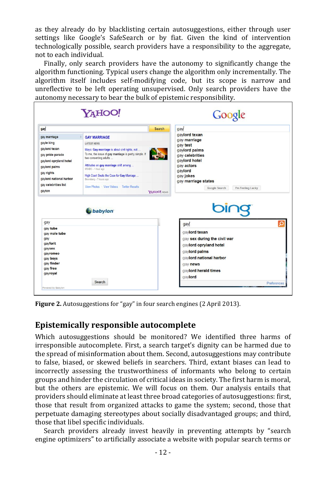as they already do by blacklisting certain autosuggestions, either through user settings like Google's SafeSearch or by fiat. Given the kind of intervention technologically possible, search providers have a responsibility to the aggregate, not to each individual.

Finally, only search providers have the autonomy to significantly change the algorithm functioning. Typical users change the algorithm only incrementally. The algorithm itself includes self-modifying code, but its scope is narrow and unreflective to be left operating unsupervised. Only search providers have the autonomy necessary to bear the bulk of epistemic responsibility.

|                                                                                                                                                                                       | <b>YAHOO!</b>                                                                                                                                                                                                                                                                                                                                                                      | Google                                                                                                                                                                                            |
|---------------------------------------------------------------------------------------------------------------------------------------------------------------------------------------|------------------------------------------------------------------------------------------------------------------------------------------------------------------------------------------------------------------------------------------------------------------------------------------------------------------------------------------------------------------------------------|---------------------------------------------------------------------------------------------------------------------------------------------------------------------------------------------------|
| gay                                                                                                                                                                                   | <b>Search</b>                                                                                                                                                                                                                                                                                                                                                                      | gay                                                                                                                                                                                               |
| gay marriage<br>gayle king<br>gaylord texan<br>gay pride parade<br>gaylord opryland hotel<br>gaylord palms<br>gay rights<br>gaylord national harbor<br>gay celebrities list<br>gayton | <b>GAY MARRIAGE</b><br><b>LATEST NEWS</b><br>Mayo: Gay marriage is about civil rights, not<br>To me, the issue of gay marriage is pretty simple. If<br>two consenting adults<br>Attitudes on gay marriage shift among<br>MSNBC - 1 hour ago<br>High Court Seals the Case for Gay-Marriage<br>Bloomberg - 7 hours ago<br>View Photos - View Videos - Twitter Results<br>YAHOO! NEWS | gaylord texan<br>gay marriage<br>gay test<br>gaylord palms<br>gay celebrities<br>gaylord hotel<br>gay actors<br>gaylord<br>gay jokes<br>gay marriage states<br>I'm Feeling Lucky<br>Google Search |
|                                                                                                                                                                                       |                                                                                                                                                                                                                                                                                                                                                                                    |                                                                                                                                                                                                   |
|                                                                                                                                                                                       | babylon                                                                                                                                                                                                                                                                                                                                                                            | bing                                                                                                                                                                                              |
| gay<br>gay tube<br>gay male tube<br>gay<br>gayforit<br>gaysex<br>gayromeo<br>gay boys<br>gay finder<br>gay free<br>gayroyal                                                           | Search                                                                                                                                                                                                                                                                                                                                                                             | gay<br>gavlord texan<br>gay sex during the civil war<br>gaylord opryland hotel<br>gaylord palms<br>gaylord national harbor<br>gay news<br>gaylord herald times<br>gaylord                         |

**Figure 2.** Autosuggestions for "gay" in four search engines (2 April 2013).

# **Epistemically responsible autocomplete**

Which autosuggestions should be monitored? We identified three harms of irresponsible autocomplete. First, a search target's dignity can be harmed due to the spread of misinformation about them. Second, autosuggestions may contribute to false, biased, or skewed beliefs in searchers. Third, extant biases can lead to incorrectly assessing the trustworthiness of informants who belong to certain groups and hinder the circulation of critical ideas in society. The first harm is moral, but the others are epistemic. We will focus on them. Our analysis entails that providers should eliminate at least three broad categories of autosuggestions: first, those that result from organized attacks to game the system; second, those that perpetuate damaging stereotypes about socially disadvantaged groups; and third, those that libel specific individuals.

Search providers already invest heavily in preventing attempts by "search engine optimizers" to artificially associate a website with popular search terms or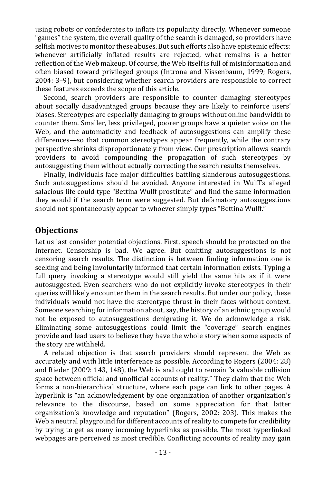using robots or confederates to inflate its popularity directly. Whenever someone "games" the system, the overall quality of the search is damaged, so providers have selfish motives to monitor these abuses. But such efforts also have epistemic effects: whenever artificially inflated results are rejected, what remains is a better reflection of the Web makeup. Of course, the Web itself is full of misinformation and often biased toward privileged groups (Introna and Nissenbaum, 1999; Rogers, 2004: 3–9), but considering whether search providers are responsible to correct these features exceeds the scope of this article.

Second, search providers are responsible to counter damaging stereotypes about socially disadvantaged groups because they are likely to reinforce users' biases. Stereotypes are especially damaging to groups without online bandwidth to counter them. Smaller, less privileged, poorer groups have a quieter voice on the Web, and the automaticity and feedback of autosuggestions can amplify these differences—so that common stereotypes appear frequently, while the contrary perspective shrinks disproportionately from view. Our prescription allows search providers to avoid compounding the propagation of such stereotypes by autosuggesting them without actually correcting the search results themselves.

Finally, individuals face major difficulties battling slanderous autosuggestions. Such autosuggestions should be avoided. Anyone interested in Wulff's alleged salacious life could type "Bettina Wulff prostitute" and find the same information they would if the search term were suggested. But defamatory autosuggestions should not spontaneously appear to whoever simply types "Bettina Wulff."

### **Objections**

Let us last consider potential objections. First, speech should be protected on the Internet. Censorship is bad. We agree. But omitting autosuggestions is not censoring search results. The distinction is between finding information one is seeking and being involuntarily informed that certain information exists. Typing a full query invoking a stereotype would still yield the same hits as if it were autosuggested. Even searchers who do not explicitly invoke stereotypes in their queries will likely encounter them in the search results. But under our policy, these individuals would not have the stereotype thrust in their faces without context. Someone searching for information about, say, the history of an ethnic group would not be exposed to autosuggestions denigrating it. We do acknowledge a risk. Eliminating some autosuggestions could limit the "coverage" search engines provide and lead users to believe they have the whole story when some aspects of the story are withheld.

A related objection is that search providers should represent the Web as accurately and with little interference as possible. According to Rogers (2004: 28) and Rieder (2009: 143, 148), the Web is and ought to remain "a valuable collision space between official and unofficial accounts of reality." They claim that the Web forms a non-hierarchical structure, where each page can link to other pages. A hyperlink is "an acknowledgement by one organization of another organization's relevance to the discourse, based on some appreciation for that latter organization's knowledge and reputation" (Rogers, 2002: 203). This makes the Web a neutral playground for different accounts of reality to compete for credibility by trying to get as many incoming hyperlinks as possible. The most hyperlinked webpages are perceived as most credible. Conflicting accounts of reality may gain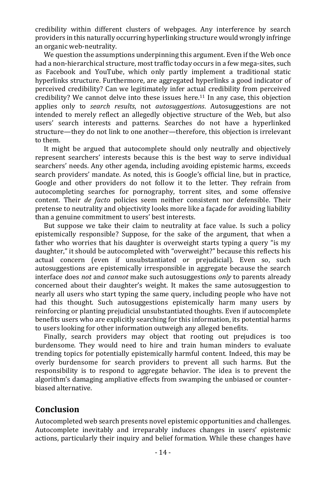credibility within different clusters of webpages. Any interference by search providers in this naturally occurring hyperlinking structure would wrongly infringe an organic web-neutrality.

We question the assumptions underpinning this argument. Even if the Web once had a non-hierarchical structure, most traffic today occurs in a few mega-sites, such as Facebook and YouTube, which only partly implement a traditional static hyperlinks structure. Furthermore, are aggregated hyperlinks a good indicator of perceived credibility? Can we legitimately infer actual credibility from perceived credibility? We cannot delve into these issues here.<sup>11</sup> In any case, this objection applies only to *search results*, not *autosuggestions*. Autosuggestions are not intended to merely reflect an allegedly objective structure of the Web, but also users' search interests and patterns. Searches do not have a hyperlinked structure—they do not link to one another—therefore, this objection is irrelevant to them.

It might be argued that autocomplete should only neutrally and objectively represent searchers' interests because this is the best way to serve individual searchers' needs. Any other agenda, including avoiding epistemic harms, exceeds search providers' mandate. As noted, this is Google's official line, but in practice, Google and other providers do not follow it to the letter. They refrain from autocompleting searches for pornography, torrent sites, and some offensive content. Their *de facto* policies seem neither consistent nor defensible. Their pretense to neutrality and objectivity looks more like a façade for avoiding liability than a genuine commitment to users' best interests.

But suppose we take their claim to neutrality at face value. Is such a policy epistemically responsible? Suppose, for the sake of the argument, that when a father who worries that his daughter is overweight starts typing a query "is my daughter," it should be autocompleted with "overweight?" because this reflects his actual concern (even if unsubstantiated or prejudicial). Even so, such autosuggestions are epistemically irresponsible in aggregate because the search interface does *not* and *cannot* make such autosuggestions *only* to parents already concerned about their daughter's weight. It makes the same autosuggestion to nearly all users who start typing the same query, including people who have not had this thought. Such autosuggestions epistemically harm many users by reinforcing or planting prejudicial unsubstantiated thoughts. Even if autocomplete benefits users who are explicitly searching for this information, its potential harms to users looking for other information outweigh any alleged benefits.

Finally, search providers may object that rooting out prejudices is too burdensome. They would need to hire and train human minders to evaluate trending topics for potentially epistemically harmful content. Indeed, this may be overly burdensome for search providers to prevent all such harms. But the responsibility is to respond to aggregate behavior. The idea is to prevent the algorithm's damaging ampliative effects from swamping the unbiased or counterbiased alternative.

# **Conclusion**

Autocompleted web search presents novel epistemic opportunities and challenges. Autocomplete inevitably and irreparably induces changes in users' epistemic actions, particularly their inquiry and belief formation. While these changes have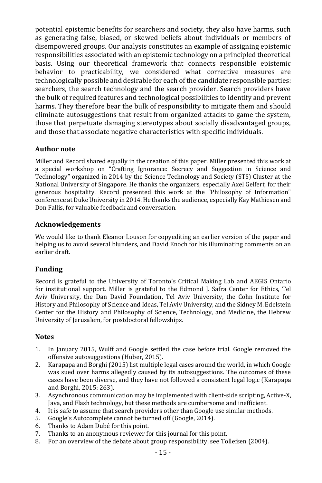potential epistemic benefits for searchers and society, they also have harms, such as generating false, biased, or skewed beliefs about individuals or members of disempowered groups. Our analysis constitutes an example of assigning epistemic responsibilities associated with an epistemic technology on a principled theoretical basis. Using our theoretical framework that connects responsible epistemic behavior to practicability, we considered what corrective measures are technologically possible and desirable for each of the candidate responsible parties: searchers, the search technology and the search provider. Search providers have the bulk of required features and technological possibilities to identify and prevent harms. They therefore bear the bulk of responsibility to mitigate them and should eliminate autosuggestions that result from organized attacks to game the system, those that perpetuate damaging stereotypes about socially disadvantaged groups, and those that associate negative characteristics with specific individuals.

#### **Author note**

Miller and Record shared equally in the creation of this paper. Miller presented this work at a special workshop on "Crafting Ignorance: Secrecy and Suggestion in Science and Technology" organized in 2014 by the Science Technology and Society (STS) Cluster at the National University of Singapore. He thanks the organizers, especially Axel Gelfert, for their generous hospitality. Record presented this work at the "Philosophy of Information" conference at Duke University in 2014. He thanks the audience, especially Kay Mathiesen and Don Fallis, for valuable feedback and conversation.

#### **Acknowledgements**

We would like to thank Eleanor Louson for copyediting an earlier version of the paper and helping us to avoid several blunders, and David Enoch for his illuminating comments on an earlier draft.

### **Funding**

Record is grateful to the University of Toronto's Critical Making Lab and AEGIS Ontario for institutional support. Miller is grateful to the Edmond J. Safra Center for Ethics, Tel Aviv University, the Dan David Foundation, Tel Aviv University, the Cohn Institute for History and Philosophy of Science and Ideas, Tel Aviv University, and the Sidney M. Edelstein Center for the History and Philosophy of Science, Technology, and Medicine, the Hebrew University of Jerusalem, for postdoctoral fellowships.

### **Notes**

- 1. In January 2015, Wulff and Google settled the case before trial. Google removed the offensive autosuggestions (Huber, 2015).
- 2. Karapapa and Borghi (2015) list multiple legal cases around the world, in which Google was sued over harms allegedly caused by its autosuggestions. The outcomes of these cases have been diverse, and they have not followed a consistent legal logic (Karapapa and Borghi, 2015: 263).
- 3. Asynchronous communication may be implemented with client-side scripting, Active-X, Java, and Flash technology, but these methods are cumbersome and inefficient.
- 4. It is safe to assume that search providers other than Google use similar methods.
- 5. Google's Autocomplete cannot be turned off (Google, 2014).
- 6. Thanks to Adam Dubé for this point.
- 7. Thanks to an anonymous reviewer for this journal for this point.
- 8. For an overview of the debate about group responsibility, see Tollefsen (2004).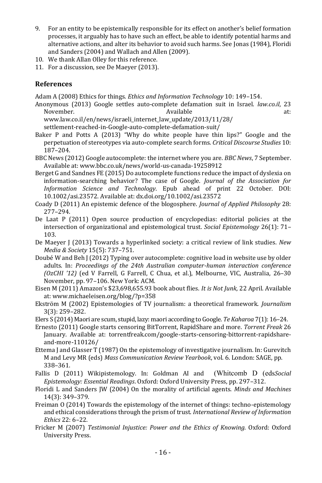- 9. For an entity to be epistemically responsible for its effect on another's belief formation processes, it arguably has to have such an effect, be able to identify potential harms and alternative actions, and alter its behavior to avoid such harms. See Jonas (1984), Floridi and Sanders (2004) and Wallach and Allen (2009).
- 10. We thank Allan Olley for this reference.
- 11. For a discussion, see De Maeyer (2013).

#### **References**

Adam A (2008) Ethics for things. *Ethics and Information Technology* 10: 149–154.

Anonymous (2013) Google settles auto-complete defamation suit in Israel. *law.co.il*, 23 November. The contraction of the Available at: the attenuation of the attenuation of the attenuation of the att

www.law.co.il/en/news/israeli\_internet\_law\_update/2013/11/28/

settlement-reached-in-Google-auto-complete-defamation-suit/

- Baker P and Potts A (2013) "Why do white people have thin lips?" Google and the perpetuation of stereotypes via auto-complete search forms. *Critical Discourse Studies* 10: 187–204.
- BBC News (2012) Google autocomplete: the internet where you are. *BBC News*, 7 September. Available at: www.bbc.co.uk/news/world-us-canada-19258912
- Berget G and Sandnes FE (2015) Do autocomplete functions reduce the impact of dyslexia on information-searching behavior? The case of Google. *Journal of the Association for Information Science and Technology*. Epub ahead of print 22 October. DOI: 10.1002/asi.23572. Available at: dx.doi.org/10.1002/asi.23572
- Coady D (2011) An epistemic defence of the blogosphere. *Journal of Applied Philosophy* 28: 277–294.
- De Laat P (2011) Open source production of encyclopedias: editorial policies at the intersection of organizational and epistemological trust. *Social Epistemology* 26(1): 71– 103.
- De Maeyer J (2013) Towards a hyperlinked society: a critical review of link studies. *New Media & Society* 15(5): 737–751.
- Doubé W and Beh J (2012) Typing over autocomplete: cognitive load in website use by older adults. In: *Proceedings of the 24th Australian computer-human interaction conference (OzCHI '12)* (ed V Farrell, G Farrell, C Chua, et al.), Melbourne, VIC, Australia, 26–30 November, pp. 97–106. New York: ACM.
- Eisen M (2011) Amazon's \$23,698,655.93 book about flies. *It is Not Junk*, 22 April. Available at: www.michaeleisen.org/blog/?p=358
- Ekström M (2002) Epistemologies of TV journalism: a theoretical framework. *Journalism* 3(3): 259–282.
- Elers S (2014) Maori are scum, stupid, lazy: maori according to Google. *Te Kaharoa* 7(1): 16–24.
- Ernesto (2011) Google starts censoring BitTorrent, RapidShare and more. *Torrent Freak* 26 January. Available at: torrentfreak.com/google-starts-censoring-bittorrent-rapidshareand-more-110126/
- Ettema J and Glasser T (1987) On the epistemology of investigative journalism. In: Gurevitch M and Levy MR (eds) *Mass Communication Review Yearbook*, vol. 6. London: SAGE, pp. 338–361.
- Fallis D (2011) Wikipistemology. In: Goldman AI and (Whitcomb D (edsSocial *Epistemology: Essential Readings*. Oxford: Oxford University Press, pp. 297–312.
- Floridi L and Sanders JW (2004) On the morality of artificial agents. *Minds and Machines* 14(3): 349–379.
- Freiman O (2014) Towards the epistemology of the internet of things: techno-epistemology and ethical considerations through the prism of trust. *International Review of Information Ethics* 22: 6–22.
- Fricker M (2007) *Testimonial Injustice: Power and the Ethics of Knowing*. Oxford: Oxford University Press.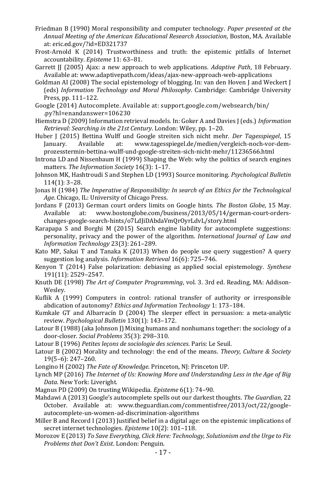- Friedman B (1990) Moral responsibility and computer technology. *Paper presented at the Annual Meeting of the American Educational Research Association*, Boston, MA. Available at: eric.ed.gov/?id=ED321737
- Frost-Arnold K (2014) Trustworthiness and truth: the epistemic pitfalls of Internet accountability. *Episteme* 11: 63–81.
- Garrett JJ (2005) Ajax: a new approach to web applications. *Adaptive Path*, 18 February. Available at: www.adaptivepath.com/ideas/ajax-new-approach-web-applications
- Goldman AI (2008) The social epistemology of blogging. In: van den Hoven J and Weckert J (eds) *Information Technology and Moral Philosophy*. Cambridge: Cambridge University Press, pp. 111–122.
- Google (2014) Autocomplete. Available at: support.google.com/websearch/bin/ .py?hl=enandanswer=106230
- Hiemstra D (2009) Information retrieval models. In: Goker A and Davies J (eds.) *Information Retrieval: Searching in the 21st Century*. London: Wiley, pp. 1–20.
- Huber J (2015) Bettina Wulff und Google streiten sich nicht mehr. *Der Tagesspiegel*, 15 January. Available at: www.tagesspiegel.de/medien/vergleich-noch-vor-demprozesstermin-bettina-wulff-und-google-streiten-sich-nicht-mehr/11236566.html
- Introna LD and Nissenbaum H (1999) Shaping the Web: why the politics of search engines matters. *The Information Society* 16(3): 1–17.

Johnson MK, Hashtroudi S and Stephen LD (1993) Source monitoring. *Psychological Bulletin* 114(1): 3–28.

- Jonas H (1984) *The Imperative of Responsibility: In search of an Ethics for the Technological Age*. Chicago, IL: University of Chicago Press.
- Jordans F (2013) German court orders limits on Google hints. *The Boston Globe*, 15 May. Available at: www.bostonglobe.com/business/2013/05/14/german-court-orderschanges-google-search-hints/o7LdJiDAbdaVmQrOyrLdvL/story.html
- Karapapa S and Borghi M (2015) Search engine liability for autocomplete suggestions: personality, privacy and the power of the algorithm. *International Journal of Law and Information Technology* 23(3): 261–289.
- Kato MP, Sakai T and Tanaka K (2013) When do people use query suggestion? A query suggestion log analysis. *Information Retrieval* 16(6): 725–746.
- Kenyon T (2014) False polarization: debiasing as applied social epistemology. *Synthese* 191(11): 2529–2547.
- Knuth DE (1998) *The Art of Computer Programming*, vol. 3. 3rd ed. Reading, MA: Addison-Wesley.
- Kuflik A (1999) Computers in control: rational transfer of authority or irresponsible abdication of autonomy? *Ethics and Information Technology* 1: 173–184.

Kumkale GT and Albarracín D (2004) The sleeper effect in persuasion: a meta-analytic review. *Psychological Bulletin* 130(1): 143–172.

- Latour B (1988) (aka Johnson J) Mixing humans and nonhumans together: the sociology of a door-closer. *Social Problems* 35(3): 298–310.
- Latour B (1996) *Petites leçons de sociologie des sciences*. Paris: Le Seuil.
- Latour B (2002) Morality and technology: the end of the means. *Theory, Culture & Society* 19(5–6): 247–260.

Longino H (2002) *The Fate of Knowledge*. Princeton, NJ: Princeton UP.

Lynch MP (2016) *The Internet of Us: Knowing More and Understanding Less in the Age of Big Data*. New York: Liveright.

Magnus PD (2009) On trusting Wikipedia. *Episteme* 6(1): 74–90.

Mahdawi A (2013) Google's autocomplete spells out our darkest thoughts. *The Guardian*, 22 October. Available at: www.theguardian.com/commentisfree/2013/oct/22/googleautocomplete-un-women-ad-discrimination-algorithms

Miller B and Record I (2013) Justified belief in a digital age: on the epistemic implications of secret internet technologies. *Episteme* 10(2): 101–118.

Morozov E (2013) *To Save Everything, Click Here: Technology, Solutionism and the Urge to Fix Problems that Don't Exist*. London: Penguin.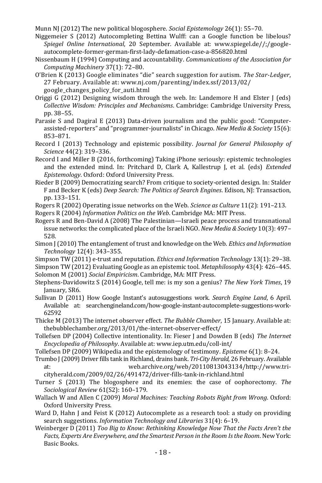Munn NJ (2012) The new political blogosphere. *Social Epistemology* 26(1): 55–70.

- Niggemeier S (2012) Autocompleting Bettina Wulff: can a Google function be libelous? *Spiegel Online International*, 20 September. Available at: www.spiegel.de//;/googleautocomplete-former-german-first-lady-defamation-case-a-856820.html
- Nissenbaum H (1994) Computing and accountability. *Communications of the Association for Computing Machinery* 37(1): 72–80.
- O'Brien K (2013) Google eliminates "die" search suggestion for autism. *The Star-Ledger*, 27 February. Available at: www.nj.com/parenting/index.ssf/2013/02/ google\_changes\_policy\_for\_auti.html
- Origgi G (2012) Designing wisdom through the web. In: Landemore H and Elster J (eds) *Collective Wisdom: Principles and Mechanisms*. Cambridge: Cambridge University Press, pp. 38–55.
- Parasie S and Dagiral E (2013) Data-driven journalism and the public good: "Computerassisted-reporters" and "programmer-journalists" in Chicago. *New Media & Society* 15(6): 853–871.
- Record I (2013) Technology and epistemic possibility. *Journal for General Philosophy of Science* 44(2): 319–336.
- Record I and Miller B (2016, forthcoming) Taking iPhone seriously: epistemic technologies and the extended mind. In: Pritchard D, Clark A, Kallestrup J, et al. (eds) *Extended Epistemology*. Oxford: Oxford University Press.
- Rieder B (2009) Democratizing search? From critique to society-oriented design. In: Stalder F and Becker K (eds) *Deep Search: The Politics of Search Engines*. Edison, NJ: Transaction, pp. 133–151.
- Rogers R (2002) Operating issue networks on the Web. *Science as Culture* 11(2): 191–213.
- Rogers R (2004) *Information Politics on the Web*. Cambridge MA: MIT Press.
- Rogers R and Ben-David A (2008) The Palestinian—Israeli peace process and transnational issue networks: the complicated place of the Israeli NGO. *New Media & Society* 10(3): 497– 528.
- Simon J (2010) The entanglement of trust and knowledge on the Web. *Ethics and Information Technology* 12(4): 343–355.
- Simpson TW (2011) e-trust and reputation. *Ethics and Information Technology* 13(1): 29–38. Simpson TW (2012) Evaluating Google as an epistemic tool. *Metaphilosophy* 43(4): 426–445. Solomon M (2001) *Social Empiricism*. Cambridge, MA: MIT Press.
- Stephens-Davidowitz S (2014) Google, tell me: is my son a genius? *The New York Times*, 19 January, SR6.
- Sullivan D (2011) How Google Instant's autosuggestions work. *Search Engine Land*, 6 April. Available at: searchengineland.com/how-google-instant-autocomplete-suggestions-work-62592
- Thicke M (2013) The internet observer effect. *The Bubble Chamber*, 15 January. Available at: thebubblechamber.org/2013/01/the-internet-observer-effect/
- Tollefsen DP (2004) Collective intentionality. In: Fieser J and Dowden B (eds) *The Internet Encyclopedia of Philosophy*. Available at: www.iep.utm.edu/coll-int/
- Tollefsen DP (2009) Wikipedia and the epistemology of testimony. *Episteme* 6(1): 8–24.
- Trumbo J (2009) Driver fills tank in Richland, drains bank. *Tri-City Herald*, 26 February. Available at: web.archive.org/web/20110813043134/http://www.tricityherald.com/2009/02/26/491472/driver-fills-tank-in-richland.html
- Turner S (2013) The blogosphere and its enemies: the case of oophorectomy. *The Sociological Review* 61(S2): 160–179.
- Wallach W and Allen C (2009) *Moral Machines: Teaching Robots Right from Wrong*. Oxford: Oxford University Press.
- Ward D, Hahn J and Feist K (2012) Autocomplete as a research tool: a study on providing search suggestions. *Information Technology and Libraries* 31(4): 6–19.
- Weinberger D (2011) *Too Big to Know: Rethinking Knowledge Now That the Facts Aren't the Facts, Experts Are Everywhere, and the Smartest Person in the Room Is the Room*. New York: Basic Books.